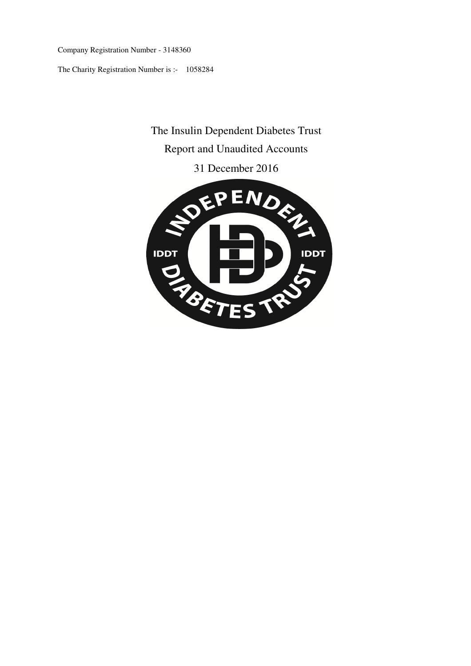Company Registration Number - 3148360

The Charity Registration Number is :- 1058284

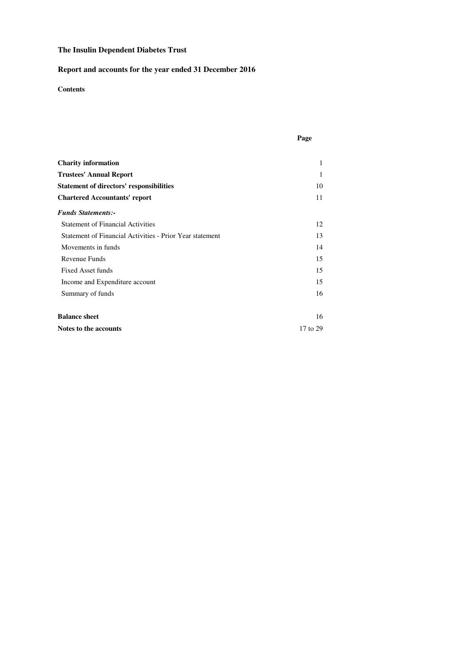## **Report and accounts for the year ended 31 December 2016**

## **Contents**

| <b>Charity information</b>                               | 1        |
|----------------------------------------------------------|----------|
| <b>Trustees' Annual Report</b>                           | 1        |
| <b>Statement of directors' responsibilities</b>          | 10       |
| <b>Chartered Accountants' report</b>                     | 11       |
| <b>Funds Statements:-</b>                                |          |
| <b>Statement of Financial Activities</b>                 | 12       |
| Statement of Financial Activities - Prior Year statement | 13       |
| Movements in funds                                       | 14       |
| Revenue Funds                                            | 15       |
| <b>Fixed Asset funds</b>                                 | 15       |
| Income and Expenditure account                           | 15       |
| Summary of funds                                         | 16       |
| <b>Balance sheet</b>                                     | 16       |
| Notes to the accounts                                    | 17 to 29 |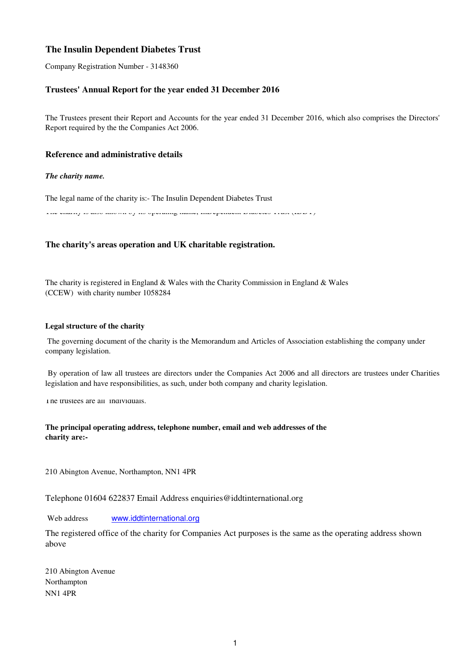Company Registration Number - 3148360

## **Trustees' Annual Report for the year ended 31 December 2016**

The Trustees present their Report and Accounts for the year ended 31 December 2016, which also comprises the Directors' Report required by the the Companies Act 2006.

## **Reference and administrative details**

#### *The charity name.*

The legal name of the charity is:- The Insulin Dependent Diabetes Trust

The charity is also known by its operating name, InDependent Diabetes Trust (IDDT)

## **The charity's areas operation and UK charitable registration.**

The charity is registered in England & Wales with the Charity Commission in England & Wales (CCEW) with charity number 1058284

#### **Legal structure of the charity**

 The governing document of the charity is the Memorandum and Articles of Association establishing the company under company legislation.

By operation of law all trustees are directors under the Companies Act 2006 and all directors are trustees under Charities legislation and have responsibilities, as such, under both company and charity legislation.

The trustees are all individuals.

## **The principal operating address, telephone number, email and web addresses of the charity are:-**

210 Abington Avenue, Northampton, NN1 4PR

Telephone 01604 622837 Email Address enquiries@iddtinternational.org

 Web address www.iddtinternational.org

The registered office of the charity for Companies Act purposes is the same as the operating address shown above

NN1 4PR Northampton 210 Abington Avenue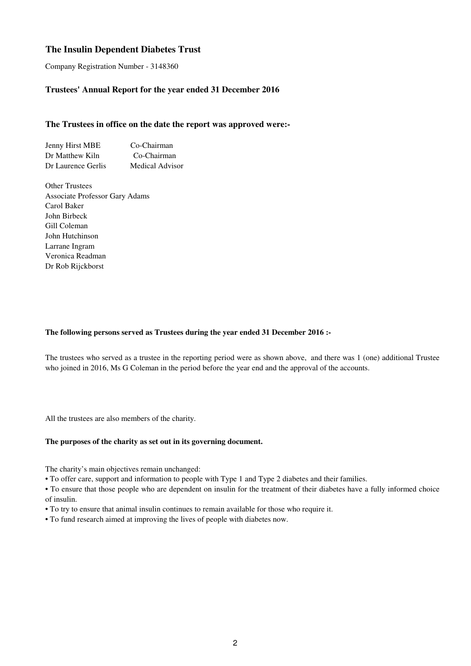Company Registration Number - 3148360

## **Trustees' Annual Report for the year ended 31 December 2016**

### **The Trustees in office on the date the report was approved were:-**

Jenny Hirst MBE Co-Chairman Dr Matthew Kiln Co-Chairman Dr Laurence Gerlis Medical Advisor

Other Trustees Associate Professor Gary Adams Carol Baker John Birbeck Gill Coleman John Hutchinson Larrane Ingram Veronica Readman Dr Rob Rijckborst

### **The following persons served as Trustees during the year ended 31 December 2016 :-**

The trustees who served as a trustee in the reporting period were as shown above, and there was 1 (one) additional Trustee who joined in 2016, Ms G Coleman in the period before the year end and the approval of the accounts.

All the trustees are also members of the charity.

#### **The purposes of the charity as set out in its governing document.**

The charity's main objectives remain unchanged:

• To offer care, support and information to people with Type 1 and Type 2 diabetes and their families.

• To ensure that those people who are dependent on insulin for the treatment of their diabetes have a fully informed choice of insulin.

- To try to ensure that animal insulin continues to remain available for those who require it.
- To fund research aimed at improving the lives of people with diabetes now.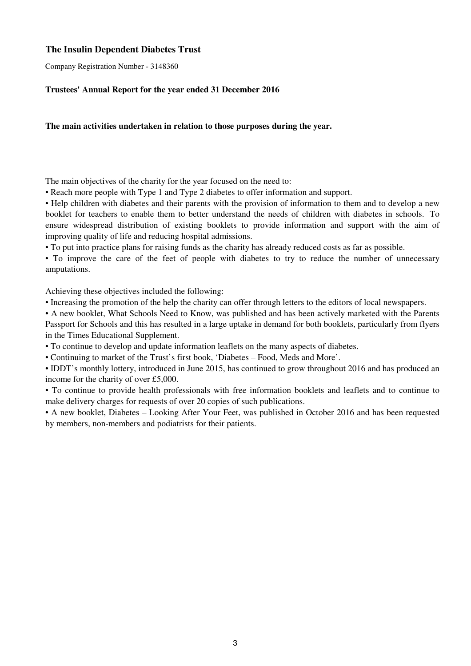Company Registration Number - 3148360

## **Trustees' Annual Report for the year ended 31 December 2016**

## **The main activities undertaken in relation to those purposes during the year.**

The main objectives of the charity for the year focused on the need to:

• Reach more people with Type 1 and Type 2 diabetes to offer information and support.

• Help children with diabetes and their parents with the provision of information to them and to develop a new booklet for teachers to enable them to better understand the needs of children with diabetes in schools. To ensure widespread distribution of existing booklets to provide information and support with the aim of improving quality of life and reducing hospital admissions.

• To put into practice plans for raising funds as the charity has already reduced costs as far as possible.

• To improve the care of the feet of people with diabetes to try to reduce the number of unnecessary amputations.

Achieving these objectives included the following:

• Increasing the promotion of the help the charity can offer through letters to the editors of local newspapers.

• A new booklet, What Schools Need to Know, was published and has been actively marketed with the Parents Passport for Schools and this has resulted in a large uptake in demand for both booklets, particularly from flyers in the Times Educational Supplement.

• To continue to develop and update information leaflets on the many aspects of diabetes.

• Continuing to market of the Trust's first book, 'Diabetes – Food, Meds and More'.

• IDDT's monthly lottery, introduced in June 2015, has continued to grow throughout 2016 and has produced an income for the charity of over £5,000.

• To continue to provide health professionals with free information booklets and leaflets and to continue to make delivery charges for requests of over 20 copies of such publications.

• A new booklet, Diabetes – Looking After Your Feet, was published in October 2016 and has been requested by members, non-members and podiatrists for their patients.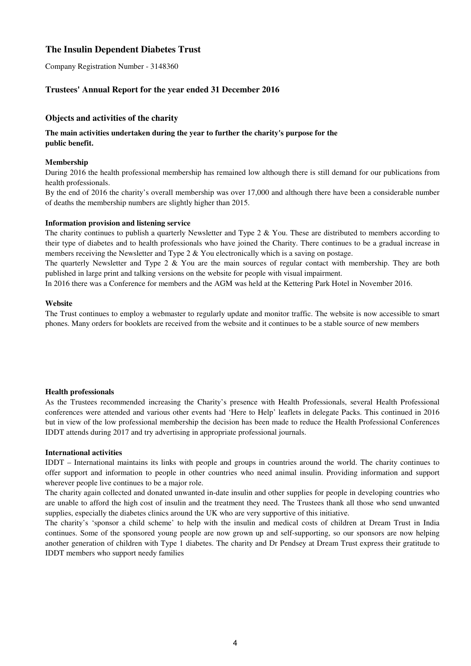Company Registration Number - 3148360

## **Trustees' Annual Report for the year ended 31 December 2016**

## **Objects and activities of the charity**

## **The main activities undertaken during the year to further the charity's purpose for the public benefit.**

#### **Membership**

During 2016 the health professional membership has remained low although there is still demand for our publications from health professionals.

By the end of 2016 the charity's overall membership was over 17,000 and although there have been a considerable number of deaths the membership numbers are slightly higher than 2015.

#### **Information provision and listening service**

The charity continues to publish a quarterly Newsletter and Type 2  $\&$  You. These are distributed to members according to their type of diabetes and to health professionals who have joined the Charity. There continues to be a gradual increase in members receiving the Newsletter and Type  $2 \& You electronically which is a saving on postage.$ 

The quarterly Newsletter and Type 2 & You are the main sources of regular contact with membership. They are both published in large print and talking versions on the website for people with visual impairment.

In 2016 there was a Conference for members and the AGM was held at the Kettering Park Hotel in November 2016.

#### **Website**

The Trust continues to employ a webmaster to regularly update and monitor traffic. The website is now accessible to smart phones. Many orders for booklets are received from the website and it continues to be a stable source of new members

#### **Health professionals**

As the Trustees recommended increasing the Charity's presence with Health Professionals, several Health Professional conferences were attended and various other events had 'Here to Help' leaflets in delegate Packs. This continued in 2016 but in view of the low professional membership the decision has been made to reduce the Health Professional Conferences IDDT attends during 2017 and try advertising in appropriate professional journals.

#### **International activities**

IDDT – International maintains its links with people and groups in countries around the world. The charity continues to offer support and information to people in other countries who need animal insulin. Providing information and support wherever people live continues to be a major role.

The charity again collected and donated unwanted in-date insulin and other supplies for people in developing countries who are unable to afford the high cost of insulin and the treatment they need. The Trustees thank all those who send unwanted supplies, especially the diabetes clinics around the UK who are very supportive of this initiative.

The charity's 'sponsor a child scheme' to help with the insulin and medical costs of children at Dream Trust in India continues. Some of the sponsored young people are now grown up and self-supporting, so our sponsors are now helping another generation of children with Type 1 diabetes. The charity and Dr Pendsey at Dream Trust express their gratitude to IDDT members who support needy families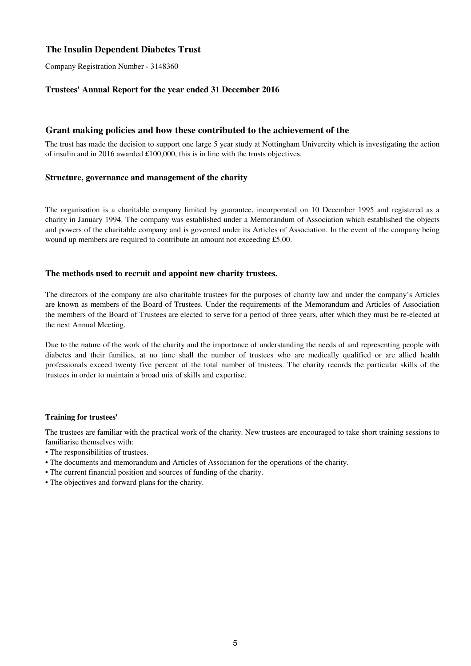Company Registration Number - 3148360

## **Trustees' Annual Report for the year ended 31 December 2016**

## **Grant making policies and how these contributed to the achievement of the**

The trust has made the decision to support one large 5 year study at Nottingham Univercity which is investigating the action of insulin and in 2016 awarded £100,000, this is in line with the trusts objectives.

#### **Structure, governance and management of the charity**

The organisation is a charitable company limited by guarantee, incorporated on 10 December 1995 and registered as a charity in January 1994. The company was established under a Memorandum of Association which established the objects and powers of the charitable company and is governed under its Articles of Association. In the event of the company being wound up members are required to contribute an amount not exceeding £5.00.

#### **The methods used to recruit and appoint new charity trustees.**

The directors of the company are also charitable trustees for the purposes of charity law and under the company's Articles are known as members of the Board of Trustees. Under the requirements of the Memorandum and Articles of Association the members of the Board of Trustees are elected to serve for a period of three years, after which they must be re-elected at the next Annual Meeting.

Due to the nature of the work of the charity and the importance of understanding the needs of and representing people with diabetes and their families, at no time shall the number of trustees who are medically qualified or are allied health professionals exceed twenty five percent of the total number of trustees. The charity records the particular skills of the trustees in order to maintain a broad mix of skills and expertise.

#### **Training for trustees'**

The trustees are familiar with the practical work of the charity. New trustees are encouraged to take short training sessions to familiarise themselves with:

- The responsibilities of trustees.
- The documents and memorandum and Articles of Association for the operations of the charity.
- The current financial position and sources of funding of the charity.
- The objectives and forward plans for the charity.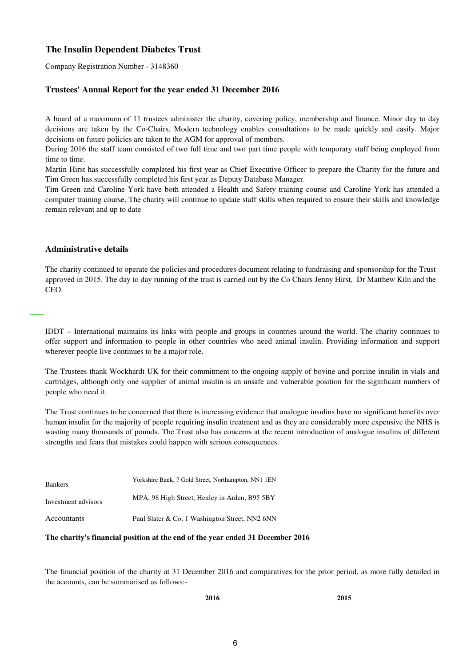Company Registration Number - 3148360

## **Trustees' Annual Report for the year ended 31 December 2016**

A board of a maximum of 11 trustees administer the charity, covering policy, membership and finance. Minor day to day decisions are taken by the Co-Chairs. Modern technology enables consultations to be made quickly and easily. Major decisions on future policies are taken to the AGM for approval of members.

During 2016 the staff team consisted of two full time and two part time people with temporary staff being employed from time to time.

Martin Hirst has successfully completed his first year as Chief Executive Officer to prepare the Charity for the future and Tim Green has successfully completed his first year as Deputy Database Manager.

Tim Green and Caroline York have both attended a Health and Safety training course and Caroline York has attended a computer training course. The charity will continue to update staff skills when required to ensure their skills and knowledge remain relevant and up to date

#### **Administrative details**

The charity continued to operate the policies and procedures document relating to fundraising and sponsorship for the Trust approved in 2015. The day to day running of the trust is carried out by the Co Chairs Jenny Hirst, Dr Matthew Kiln and the CEO.

IDDT – International maintains its links with people and groups in countries around the world. The charity continues to offer support and information to people in other countries who need animal insulin. Providing information and support wherever people live continues to be a major role.

The Trustees thank Wockhardt UK for their commitment to the ongoing supply of bovine and porcine insulin in vials and cartridges, although only one supplier of animal insulin is an unsafe and vulnerable position for the significant numbers of people who need it.

The Trust continues to be concerned that there is increasing evidence that analogue insulins have no significant benefits over human insulin for the majority of people requiring insulin treatment and as they are considerably more expensive the NHS is wasting many thousands of pounds. The Trust also has concerns at the recent introduction of analogue insulins of different strengths and fears that mistakes could happen with serious consequences.

| <b>Bankers</b>      | Yorkshire Bank, 7 Gold Street, Northampton, NN1 1EN |
|---------------------|-----------------------------------------------------|
| Investment advisors | MPA, 98 High Street, Henley in Arden, B95 5BY       |
| Accountants         | Paul Slater & Co, 1 Washington Street, NN2 6NN      |

#### **The charity's financial position at the end of the year ended 31 December 2016**

The financial position of the charity at 31 December 2016 and comparatives for the prior period, as more fully detailed in the accounts, can be summarised as follows:-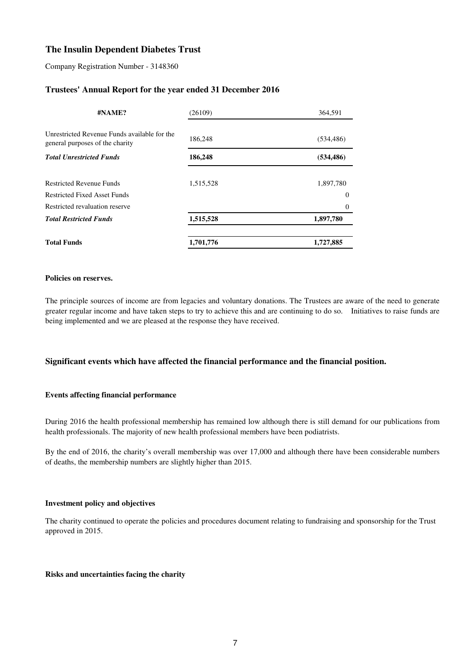Company Registration Number - 3148360

## **Trustees' Annual Report for the year ended 31 December 2016**

| #NAME?                                                                          | (26109)   | 364,591    |
|---------------------------------------------------------------------------------|-----------|------------|
| Unrestricted Revenue Funds available for the<br>general purposes of the charity | 186,248   | (534, 486) |
| <b>Total Unrestricted Funds</b>                                                 | 186,248   | (534, 486) |
| <b>Restricted Revenue Funds</b>                                                 | 1,515,528 | 1,897,780  |
| <b>Restricted Fixed Asset Funds</b>                                             |           | $\theta$   |
| Restricted revaluation reserve                                                  |           | $\Omega$   |
| <b>Total Restricted Funds</b>                                                   | 1,515,528 | 1,897,780  |
| <b>Total Funds</b>                                                              | 1,701,776 | 1,727,885  |

#### **Policies on reserves.**

The principle sources of income are from legacies and voluntary donations. The Trustees are aware of the need to generate greater regular income and have taken steps to try to achieve this and are continuing to do so. Initiatives to raise funds are being implemented and we are pleased at the response they have received.

## **Significant events which have affected the financial performance and the financial position.**

#### **Events affecting financial performance**

During 2016 the health professional membership has remained low although there is still demand for our publications from health professionals. The majority of new health professional members have been podiatrists.

By the end of 2016, the charity's overall membership was over 17,000 and although there have been considerable numbers of deaths, the membership numbers are slightly higher than 2015.

#### **Investment policy and objectives**

The charity continued to operate the policies and procedures document relating to fundraising and sponsorship for the Trust approved in 2015.

#### **Risks and uncertainties facing the charity**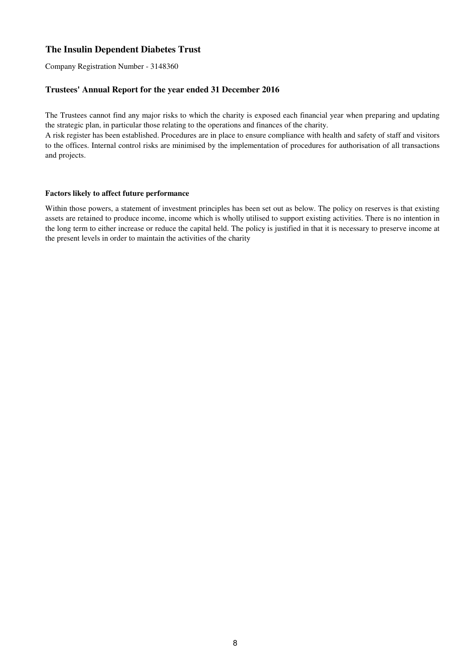Company Registration Number - 3148360

## **Trustees' Annual Report for the year ended 31 December 2016**

The Trustees cannot find any major risks to which the charity is exposed each financial year when preparing and updating the strategic plan, in particular those relating to the operations and finances of the charity.

A risk register has been established. Procedures are in place to ensure compliance with health and safety of staff and visitors to the offices. Internal control risks are minimised by the implementation of procedures for authorisation of all transactions and projects.

#### **Factors likely to affect future performance**

Within those powers, a statement of investment principles has been set out as below. The policy on reserves is that existing assets are retained to produce income, income which is wholly utilised to support existing activities. There is no intention in the long term to either increase or reduce the capital held. The policy is justified in that it is necessary to preserve income at the present levels in order to maintain the activities of the charity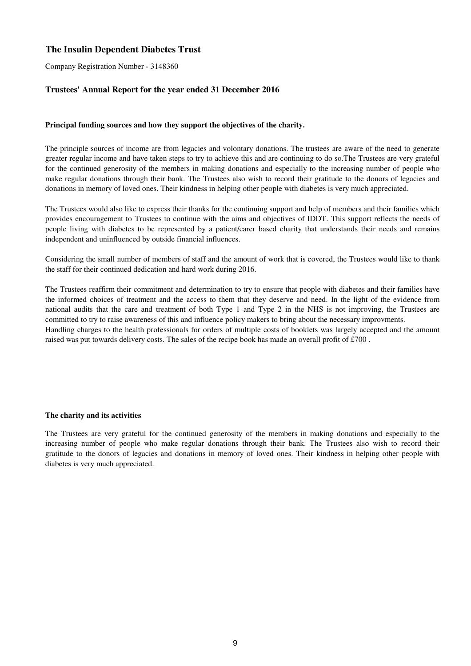Company Registration Number - 3148360

## **Trustees' Annual Report for the year ended 31 December 2016**

#### **Principal funding sources and how they support the objectives of the charity.**

The principle sources of income are from legacies and volontary donations. The trustees are aware of the need to generate greater regular income and have taken steps to try to achieve this and are continuing to do so.The Trustees are very grateful for the continued generosity of the members in making donations and especially to the increasing number of people who make regular donations through their bank. The Trustees also wish to record their gratitude to the donors of legacies and donations in memory of loved ones. Their kindness in helping other people with diabetes is very much appreciated.

The Trustees would also like to express their thanks for the continuing support and help of members and their families which provides encouragement to Trustees to continue with the aims and objectives of IDDT. This support reflects the needs of people living with diabetes to be represented by a patient/carer based charity that understands their needs and remains independent and uninfluenced by outside financial influences.

Considering the small number of members of staff and the amount of work that is covered, the Trustees would like to thank the staff for their continued dedication and hard work during 2016.

The Trustees reaffirm their commitment and determination to try to ensure that people with diabetes and their families have the informed choices of treatment and the access to them that they deserve and need. In the light of the evidence from national audits that the care and treatment of both Type 1 and Type 2 in the NHS is not improving, the Trustees are committed to try to raise awareness of this and influence policy makers to bring about the necessary improvments. Handling charges to the health professionals for orders of multiple costs of booklets was largely accepted and the amount

raised was put towards delivery costs. The sales of the recipe book has made an overall profit of £700 .

#### **The charity and its activities**

The Trustees are very grateful for the continued generosity of the members in making donations and especially to the increasing number of people who make regular donations through their bank. The Trustees also wish to record their gratitude to the donors of legacies and donations in memory of loved ones. Their kindness in helping other people with diabetes is very much appreciated.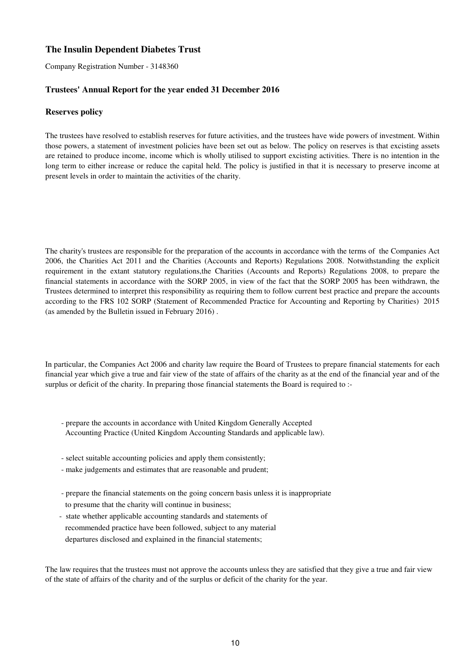Company Registration Number - 3148360

## **Trustees' Annual Report for the year ended 31 December 2016**

### **Reserves policy**

The trustees have resolved to establish reserves for future activities, and the trustees have wide powers of investment. Within those powers, a statement of investment policies have been set out as below. The policy on reserves is that excisting assets are retained to produce income, income which is wholly utilised to support excisting activities. There is no intention in the long term to either increase or reduce the capital held. The policy is justified in that it is necessary to preserve income at present levels in order to maintain the activities of the charity.

The charity's trustees are responsible for the preparation of the accounts in accordance with the terms of the Companies Act 2006, the Charities Act 2011 and the Charities (Accounts and Reports) Regulations 2008. Notwithstanding the explicit requirement in the extant statutory regulations,the Charities (Accounts and Reports) Regulations 2008, to prepare the financial statements in accordance with the SORP 2005, in view of the fact that the SORP 2005 has been withdrawn, the Trustees determined to interpret this responsibility as requiring them to follow current best practice and prepare the accounts according to the FRS 102 SORP (Statement of Recommended Practice for Accounting and Reporting by Charities) 2015 (as amended by the Bulletin issued in February 2016) .

In particular, the Companies Act 2006 and charity law require the Board of Trustees to prepare financial statements for each financial year which give a true and fair view of the state of affairs of the charity as at the end of the financial year and of the surplus or deficit of the charity. In preparing those financial statements the Board is required to :-

- prepare the accounts in accordance with United Kingdom Generally Accepted Accounting Practice (United Kingdom Accounting Standards and applicable law).
- select suitable accounting policies and apply them consistently;
- make judgements and estimates that are reasonable and prudent;
- to presume that the charity will continue in business; - prepare the financial statements on the going concern basis unless it is inappropriate
- state whether applicable accounting standards and statements of recommended practice have been followed, subject to any material departures disclosed and explained in the financial statements;

The law requires that the trustees must not approve the accounts unless they are satisfied that they give a true and fair view of the state of affairs of the charity and of the surplus or deficit of the charity for the year.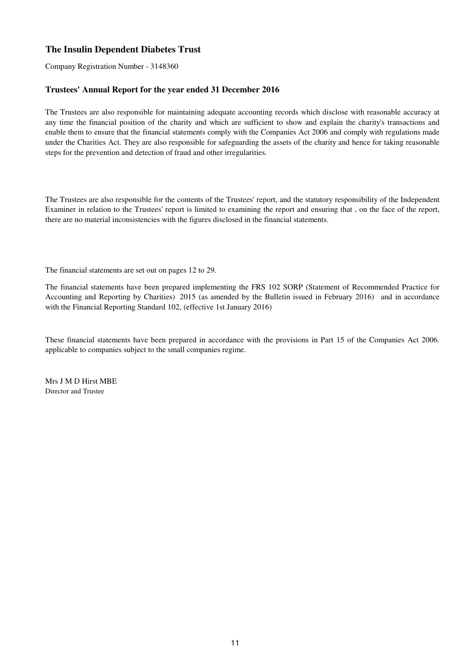Company Registration Number - 3148360

## **Trustees' Annual Report for the year ended 31 December 2016**

The Trustees are also responsible for maintaining adequate accounting records which disclose with reasonable accuracy at any time the financial position of the charity and which are sufficient to show and explain the charity's transactions and enable them to ensure that the financial statements comply with the Companies Act 2006 and comply with regulations made under the Charities Act. They are also responsible for safeguarding the assets of the charity and hence for taking reasonable steps for the prevention and detection of fraud and other irregularities.

The Trustees are also responsible for the contents of the Trustees' report, and the statutory responsibility of the Independent Examiner in relation to the Trustees' report is limited to examining the report and ensuring that , on the face of the report, there are no material inconsistencies with the figures disclosed in the financial statements.

The financial statements are set out on pages 12 to 29.

The financial statements have been prepared implementing the FRS 102 SORP (Statement of Recommended Practice for Accounting and Reporting by Charities) 2015 (as amended by the Bulletin issued in February 2016) and in accordance with the Financial Reporting Standard 102, (effective 1st January 2016)

These financial statements have been prepared in accordance with the provisions in Part 15 of the Companies Act 2006. applicable to companies subject to the small companies regime.

Mrs J M D Hirst MBE Director and Trustee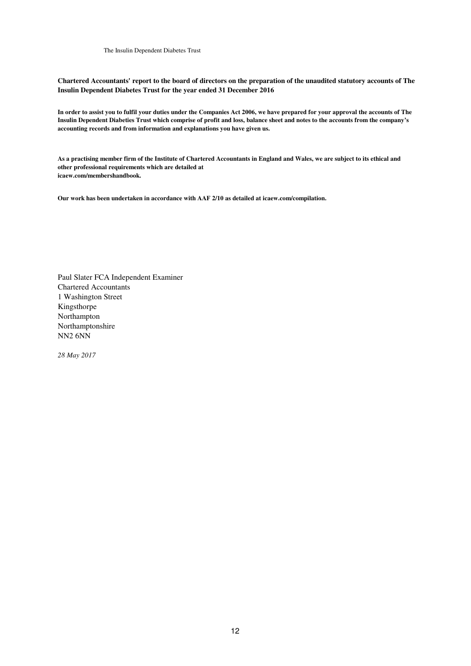**Chartered Accountants' report to the board of directors on the preparation of the unaudited statutory accounts of The Insulin Dependent Diabetes Trust for the year ended 31 December 2016**

**In order to assist you to fulfil your duties under the Companies Act 2006, we have prepared for your approval the accounts of The Insulin Dependent Diabeties Trust which comprise of profit and loss, balance sheet and notes to the accounts from the company's accounting records and from information and explanations you have given us.**

**As a practising member firm of the Institute of Chartered Accountants in England and Wales, we are subject to its ethical and other professional requirements which are detailed at icaew.com/membershandbook.**

**Our work has been undertaken in accordance with AAF 2/10 as detailed at icaew.com/compilation.**

Paul Slater FCA Independent Examiner Chartered Accountants 1 Washington Street Kingsthorpe Northampton Northamptonshire NN2 6NN

*28 May 2017*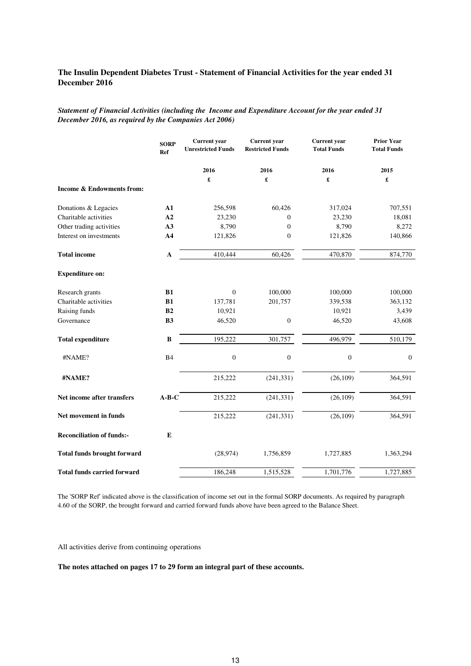*Statement of Financial Activities (including the Income and Expenditure Account for the year ended 31 December 2016, as required by the Companies Act 2006)*

|                                    | <b>SORP</b><br>Ref | <b>Current</b> year<br><b>Unrestricted Funds</b> | <b>Current</b> year<br><b>Restricted Funds</b> | <b>Current</b> year<br><b>Total Funds</b> | <b>Prior Year</b><br><b>Total Funds</b> |
|------------------------------------|--------------------|--------------------------------------------------|------------------------------------------------|-------------------------------------------|-----------------------------------------|
|                                    |                    | 2016                                             | 2016                                           | 2016                                      | 2015                                    |
|                                    |                    | £                                                | £                                              | £                                         | £                                       |
| Income & Endowments from:          |                    |                                                  |                                                |                                           |                                         |
| Donations & Legacies               | ${\bf A1}$         | 256,598                                          | 60,426                                         | 317,024                                   | 707,551                                 |
| Charitable activities              | A2                 | 23,230                                           | $\boldsymbol{0}$                               | 23,230                                    | 18,081                                  |
| Other trading activities           | A3                 | 8,790                                            | $\boldsymbol{0}$                               | 8,790                                     | 8,272                                   |
| Interest on investments            | A <sub>4</sub>     | 121,826                                          | $\boldsymbol{0}$                               | 121,826                                   | 140,866                                 |
| <b>Total income</b>                | ${\bf A}$          | 410,444                                          | 60,426                                         | 470,870                                   | 874,770                                 |
| <b>Expenditure on:</b>             |                    |                                                  |                                                |                                           |                                         |
| Research grants                    | B1                 | $\theta$                                         | 100,000                                        | 100,000                                   | 100,000                                 |
| Charitable activities              | B1                 | 137,781                                          | 201,757                                        | 339,538                                   | 363,132                                 |
| Raising funds                      | B <sub>2</sub>     | 10,921                                           |                                                | 10,921                                    | 3,439                                   |
| Governance                         | <b>B3</b>          | 46,520                                           | $\boldsymbol{0}$                               | 46,520                                    | 43,608                                  |
| <b>Total expenditure</b>           | $\, {\bf B}$       | 195,222                                          | 301,757                                        | 496,979                                   | 510,179                                 |
| #NAME?                             | <b>B4</b>          | $\overline{0}$                                   | $\boldsymbol{0}$                               | $\theta$                                  | $\theta$                                |
| #NAME?                             |                    | 215,222                                          | (241, 331)                                     | (26, 109)                                 | 364,591                                 |
| Net income after transfers         | $A-B-C$            | 215,222                                          | (241, 331)                                     | (26, 109)                                 | 364,591                                 |
| Net movement in funds              |                    | 215,222                                          | (241, 331)                                     | (26, 109)                                 | 364,591                                 |
| <b>Reconciliation of funds:-</b>   | E                  |                                                  |                                                |                                           |                                         |
| <b>Total funds brought forward</b> |                    | (28, 974)                                        | 1,756,859                                      | 1,727,885                                 | 1,363,294                               |
| <b>Total funds carried forward</b> |                    | 186,248                                          | 1,515,528                                      | 1,701,776                                 | 1,727,885                               |

The 'SORP Ref' indicated above is the classification of income set out in the formal SORP documents. As required by paragraph 4.60 of the SORP, the brought forward and carried forward funds above have been agreed to the Balance Sheet.

All activities derive from continuing operations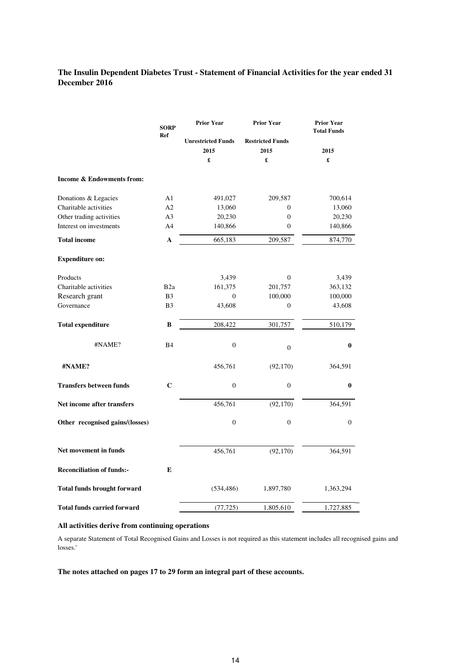|                                      | <b>SORP</b>     | <b>Prior Year</b>                      | <b>Prior Year</b>                    | <b>Prior Year</b><br><b>Total Funds</b> |
|--------------------------------------|-----------------|----------------------------------------|--------------------------------------|-----------------------------------------|
|                                      | Ref             | <b>Unrestricted Funds</b><br>2015<br>£ | <b>Restricted Funds</b><br>2015<br>£ | 2015<br>£                               |
| <b>Income &amp; Endowments from:</b> |                 |                                        |                                      |                                         |
| Donations & Legacies                 | A1              | 491,027                                | 209,587                              | 700,614                                 |
| Charitable activities                | A2              | 13,060                                 | $\mathbf{0}$                         | 13,060                                  |
| Other trading activities             | A <sub>3</sub>  | 20,230                                 | $\boldsymbol{0}$                     | 20,230                                  |
| Interest on investments              | A <sub>4</sub>  | 140,866                                | $\mathbf{0}$                         | 140,866                                 |
| <b>Total income</b>                  | $\mathbf{A}$    | 665,183                                | 209,587                              | 874,770                                 |
| <b>Expenditure on:</b>               |                 |                                        |                                      |                                         |
| Products                             |                 | 3,439                                  | $\boldsymbol{0}$                     | 3,439                                   |
| Charitable activities                | B <sub>2a</sub> | 161,375                                | 201,757                              | 363,132                                 |
| Research grant                       | B <sub>3</sub>  | $\boldsymbol{0}$                       | 100,000                              | 100,000                                 |
| Governance                           | B <sub>3</sub>  | 43,608                                 | $\boldsymbol{0}$                     | 43,608                                  |
| <b>Total expenditure</b>             | B               | 208,422                                | 301,757                              | 510,179                                 |
| #NAME?                               | <b>B4</b>       | $\overline{0}$                         | $\overline{0}$                       | 0                                       |
| #NAME?                               |                 | 456,761                                | (92, 170)                            | 364,591                                 |
| <b>Transfers between funds</b>       | $\mathbf C$     | $\overline{0}$                         | $\overline{0}$                       | $\bf{0}$                                |
| Net income after transfers           |                 | 456,761                                | (92, 170)                            | 364,591                                 |
| Other recognised gains/(losses)      |                 | $\boldsymbol{0}$                       | $\boldsymbol{0}$                     | $\Omega$                                |
| Net movement in funds                |                 | 456,761                                | (92, 170)                            | 364,591                                 |
| <b>Reconciliation of funds:-</b>     | E               |                                        |                                      |                                         |
| <b>Total funds brought forward</b>   |                 | (534, 486)                             | 1,897,780                            | 1,363,294                               |
| <b>Total funds carried forward</b>   |                 | (77, 725)                              | 1,805,610                            | 1,727,885                               |

## **All activities derive from continuing operations**

A separate Statement of Total Recognised Gains and Losses is not required as this statement includes all recognised gains and losses.'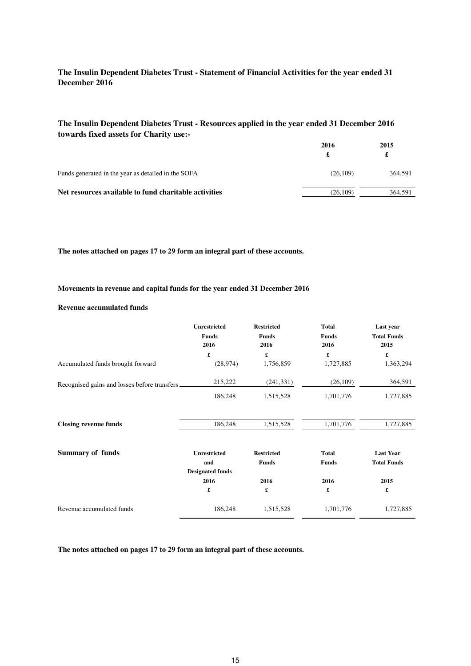## **The Insulin Dependent Diabetes Trust - Resources applied in the year ended 31 December 2016 towards fixed assets for Charity use:-**

|                                                       | 2016     | 2015    |  |
|-------------------------------------------------------|----------|---------|--|
|                                                       | £        | £       |  |
| Funds generated in the year as detailed in the SOFA   | (26,109) | 364.591 |  |
| Net resources available to fund charitable activities | (26.109) | 364.591 |  |

**The notes attached on pages 17 to 29 form an integral part of these accounts.**

#### **Movements in revenue and capital funds for the year ended 31 December 2016**

### **Revenue accumulated funds**

|                                              | Unrestricted<br><b>Funds</b><br>2016                  | <b>Restricted</b><br><b>Funds</b><br>2016 | <b>Total</b><br><b>Funds</b><br>2016 | Last year<br><b>Total Funds</b><br>2015 |
|----------------------------------------------|-------------------------------------------------------|-------------------------------------------|--------------------------------------|-----------------------------------------|
|                                              | £                                                     | £                                         | £                                    | £                                       |
| Accumulated funds brought forward            | (28, 974)                                             | 1,756,859                                 | 1,727,885                            | 1,363,294                               |
| Recognised gains and losses before transfers | 215,222                                               | (241, 331)                                | (26,109)                             | 364,591                                 |
|                                              | 186,248                                               | 1,515,528                                 | 1,701,776                            | 1,727,885                               |
| <b>Closing revenue funds</b>                 | 186,248                                               | 1,515,528                                 | 1,701,776                            | 1,727,885                               |
| <b>Summary of funds</b>                      | <b>Unrestricted</b><br>and<br><b>Designated funds</b> | <b>Restricted</b><br><b>Funds</b>         | <b>Total</b><br><b>Funds</b>         | <b>Last Year</b><br><b>Total Funds</b>  |
|                                              | 2016                                                  | 2016                                      | 2016                                 | 2015                                    |
|                                              | £                                                     | £                                         | £                                    | £                                       |
| Revenue accumulated funds                    | 186,248                                               | 1,515,528                                 | 1,701,776                            | 1,727,885                               |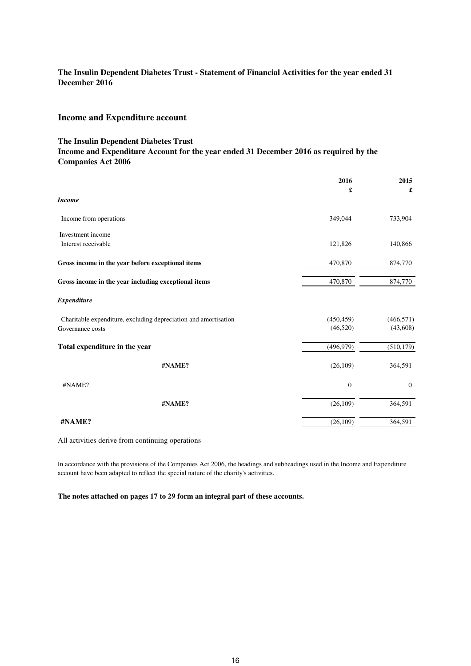## **Income and Expenditure account**

#### **The Insulin Dependent Diabetes Trust**

## **Income and Expenditure Account for the year ended 31 December 2016 as required by the Companies Act 2006**

|                                                                 | 2016       | 2015         |
|-----------------------------------------------------------------|------------|--------------|
| <b>Income</b>                                                   | £          | £            |
| Income from operations                                          | 349,044    | 733,904      |
| Investment income                                               |            |              |
| Interest receivable                                             | 121,826    | 140,866      |
| Gross income in the year before exceptional items               | 470,870    | 874,770      |
| Gross income in the year including exceptional items            | 470,870    | 874,770      |
| <b>Expenditure</b>                                              |            |              |
| Charitable expenditure, excluding depreciation and amortisation | (450, 459) | (466, 571)   |
| Governance costs                                                | (46,520)   | (43,608)     |
| Total expenditure in the year                                   | (496, 979) | (510, 179)   |
| #NAME?                                                          | (26, 109)  | 364,591      |
| #NAME?                                                          | $\theta$   | $\mathbf{0}$ |
| #NAME?                                                          | (26, 109)  | 364,591      |
| #NAME?                                                          | (26, 109)  | 364,591      |

All activities derive from continuing operations

In accordance with the provisions of the Companies Act 2006, the headings and subheadings used in the Income and Expenditure account have been adapted to reflect the special nature of the charity's activities.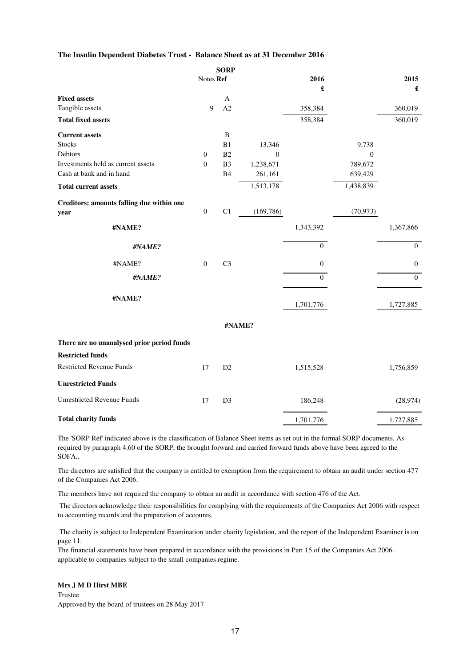#### **The Insulin Dependent Diabetes Trust - Balance Sheet as at 31 December 2016**

|                                            |                  | <b>SORP</b>    |                  |                  |              |                  |
|--------------------------------------------|------------------|----------------|------------------|------------------|--------------|------------------|
|                                            | Notes Ref        |                |                  | 2016             |              | 2015             |
|                                            |                  |                |                  | £                |              | £                |
| <b>Fixed assets</b>                        |                  | A              |                  |                  |              |                  |
| Tangible assets                            | 9                | A2             |                  | 358,384          |              | 360,019          |
| <b>Total fixed assets</b>                  |                  |                |                  | 358,384          |              | 360,019          |
| <b>Current assets</b>                      |                  | $\, {\bf B}$   |                  |                  |              |                  |
| <b>Stocks</b>                              |                  | B1             | 13,346           |                  | 9,738        |                  |
| Debtors                                    | $\boldsymbol{0}$ | B2             | $\boldsymbol{0}$ |                  | $\mathbf{0}$ |                  |
| Investments held as current assets         | $\boldsymbol{0}$ | B <sub>3</sub> | 1,238,671        |                  | 789,672      |                  |
| Cash at bank and in hand                   |                  | <b>B4</b>      | 261,161          |                  | 639,429      |                  |
| <b>Total current assets</b>                |                  |                | 1,513,178        |                  | 1,438,839    |                  |
| Creditors: amounts falling due within one  |                  |                |                  |                  |              |                  |
| year                                       | $\boldsymbol{0}$ | C1             | (169, 786)       |                  | (70, 973)    |                  |
| #NAME?                                     |                  |                |                  | 1,343,392        |              | 1,367,866        |
| #NAME?                                     |                  |                |                  | $\overline{0}$   |              | $\boldsymbol{0}$ |
| #NAME?                                     | $\boldsymbol{0}$ | C <sub>3</sub> |                  | $\boldsymbol{0}$ |              | $\boldsymbol{0}$ |
| #NAME?                                     |                  |                |                  | $\overline{0}$   |              | $\overline{0}$   |
| #NAME?                                     |                  |                |                  | 1,701,776        |              | 1,727,885        |
|                                            |                  |                |                  |                  |              |                  |
|                                            |                  |                | #NAME?           |                  |              |                  |
| There are no unanalysed prior period funds |                  |                |                  |                  |              |                  |
| <b>Restricted funds</b>                    |                  |                |                  |                  |              |                  |
| <b>Restricted Revenue Funds</b>            | 17               | D2             |                  | 1,515,528        |              | 1,756,859        |
| <b>Unrestricted Funds</b>                  |                  |                |                  |                  |              |                  |
| <b>Unrestricted Revenue Funds</b>          | 17               | D <sub>3</sub> |                  | 186,248          |              | (28, 974)        |
| <b>Total charity funds</b>                 |                  |                |                  | 1,701,776        |              | 1,727,885        |

The 'SORP Ref' indicated above is the classification of Balance Sheet items as set out in the formal SORP documents. As required by paragraph 4.60 of the SORP, the brought forward and carried forward funds above have been agreed to the SOFA..

The directors are satisfied that the company is entitled to exemption from the requirement to obtain an audit under section 477 of the Companies Act 2006.

The members have not required the company to obtain an audit in accordance with section 476 of the Act.

 The directors acknowledge their responsibilities for complying with the requirements of the Companies Act 2006 with respect to accounting records and the preparation of accounts.

 The charity is subject to Independent Examination under charity legislation, and the report of the Independent Examiner is on page 11.

The financial statements have been prepared in accordance with the provisions in Part 15 of the Companies Act 2006. applicable to companies subject to the small companies regime.

### **Mrs J M D Hirst MBE**

Trustee Approved by the board of trustees on 28 May 2017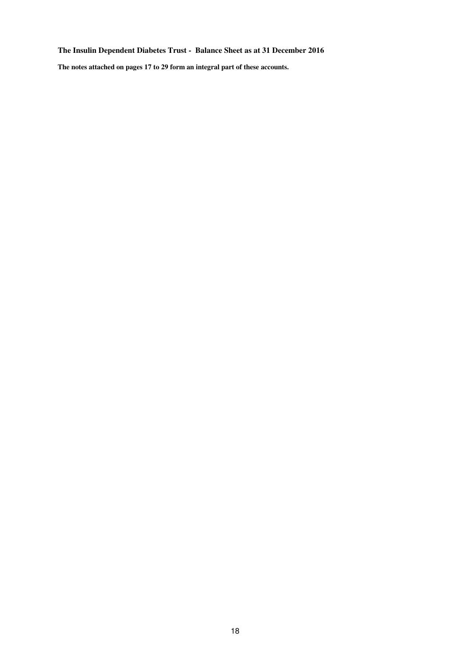## **The Insulin Dependent Diabetes Trust - Balance Sheet as at 31 December 2016**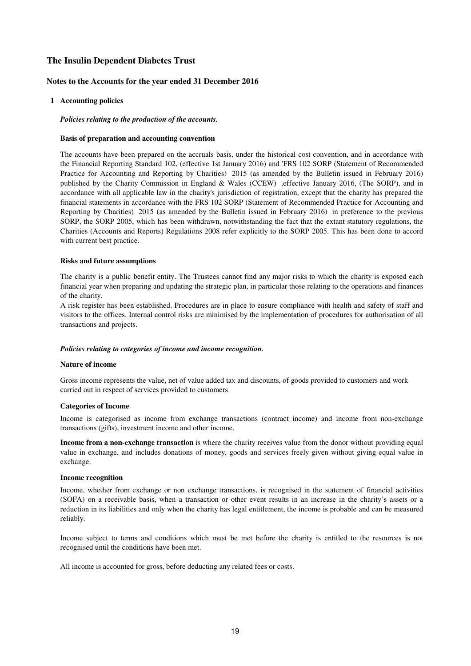#### **Notes to the Accounts for the year ended 31 December 2016**

#### **1 Accounting policies**

*Policies relating to the production of the accounts.*

#### **Basis of preparation and accounting convention**

The accounts have been prepared on the accruals basis, under the historical cost convention, and in accordance with the Financial Reporting Standard 102, (effective 1st January 2016) and 'FRS 102 SORP (Statement of Recommended Practice for Accounting and Reporting by Charities) 2015 (as amended by the Bulletin issued in February 2016) published by the Charity Commission in England & Wales (CCEW) ,effective January 2016, (The SORP), and in accordance with all applicable law in the charity's jurisdiction of registration, except that the charity has prepared the financial statements in accordance with the FRS 102 SORP (Statement of Recommended Practice for Accounting and Reporting by Charities) 2015 (as amended by the Bulletin issued in February 2016) in preference to the previous SORP, the SORP 2005, which has been withdrawn, notwithstanding the fact that the extant statutory regulations, the Charities (Accounts and Reports) Regulations 2008 refer explicitly to the SORP 2005. This has been done to accord with current best practice.

#### **Risks and future assumptions**

The charity is a public benefit entity. The Trustees cannot find any major risks to which the charity is exposed each financial year when preparing and updating the strategic plan, in particular those relating to the operations and finances of the charity.

A risk register has been established. Procedures are in place to ensure compliance with health and safety of staff and visitors to the offices. Internal control risks are minimised by the implementation of procedures for authorisation of all transactions and projects.

#### *Policies relating to categories of income and income recognition.*

#### **Nature of income**

Gross income represents the value, net of value added tax and discounts, of goods provided to customers and work carried out in respect of services provided to customers.

#### **Categories of Income**

Income is categorised as income from exchange transactions (contract income) and income from non-exchange transactions (gifts), investment income and other income.

**Income from a non-exchange transaction** is where the charity receives value from the donor without providing equal value in exchange, and includes donations of money, goods and services freely given without giving equal value in exchange.

#### **Income recognition**

Income, whether from exchange or non exchange transactions, is recognised in the statement of financial activities (SOFA) on a receivable basis, when a transaction or other event results in an increase in the charity's assets or a reduction in its liabilities and only when the charity has legal entitlement, the income is probable and can be measured reliably.

Income subject to terms and conditions which must be met before the charity is entitled to the resources is not recognised until the conditions have been met.

All income is accounted for gross, before deducting any related fees or costs.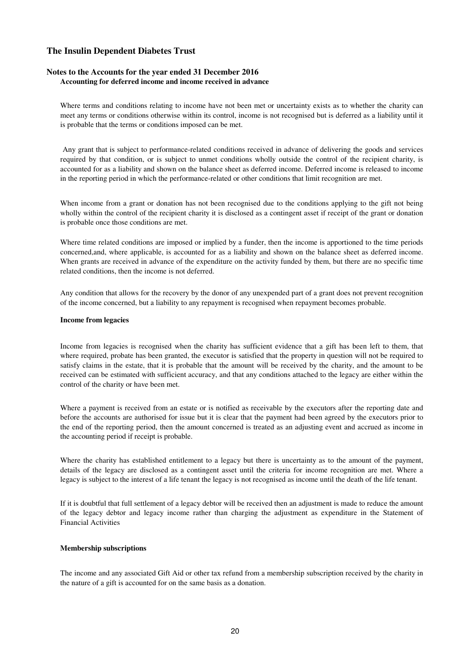#### **Notes to the Accounts for the year ended 31 December 2016 Accounting for deferred income and income received in advance**

Where terms and conditions relating to income have not been met or uncertainty exists as to whether the charity can meet any terms or conditions otherwise within its control, income is not recognised but is deferred as a liability until it is probable that the terms or conditions imposed can be met.

Any grant that is subject to performance-related conditions received in advance of delivering the goods and services required by that condition, or is subject to unmet conditions wholly outside the control of the recipient charity, is accounted for as a liability and shown on the balance sheet as deferred income. Deferred income is released to income in the reporting period in which the performance-related or other conditions that limit recognition are met.

When income from a grant or donation has not been recognised due to the conditions applying to the gift not being wholly within the control of the recipient charity it is disclosed as a contingent asset if receipt of the grant or donation is probable once those conditions are met.

Where time related conditions are imposed or implied by a funder, then the income is apportioned to the time periods concerned,and, where applicable, is accounted for as a liability and shown on the balance sheet as deferred income. When grants are received in advance of the expenditure on the activity funded by them, but there are no specific time related conditions, then the income is not deferred.

Any condition that allows for the recovery by the donor of any unexpended part of a grant does not prevent recognition of the income concerned, but a liability to any repayment is recognised when repayment becomes probable.

#### **Income from legacies**

Income from legacies is recognised when the charity has sufficient evidence that a gift has been left to them, that where required, probate has been granted, the executor is satisfied that the property in question will not be required to satisfy claims in the estate, that it is probable that the amount will be received by the charity, and the amount to be received can be estimated with sufficient accuracy, and that any conditions attached to the legacy are either within the control of the charity or have been met.

Where a payment is received from an estate or is notified as receivable by the executors after the reporting date and before the accounts are authorised for issue but it is clear that the payment had been agreed by the executors prior to the end of the reporting period, then the amount concerned is treated as an adjusting event and accrued as income in the accounting period if receipt is probable.

Where the charity has established entitlement to a legacy but there is uncertainty as to the amount of the payment, details of the legacy are disclosed as a contingent asset until the criteria for income recognition are met. Where a legacy is subject to the interest of a life tenant the legacy is not recognised as income until the death of the life tenant.

If it is doubtful that full settlement of a legacy debtor will be received then an adjustment is made to reduce the amount of the legacy debtor and legacy income rather than charging the adjustment as expenditure in the Statement of Financial Activities

#### **Membership subscriptions**

The income and any associated Gift Aid or other tax refund from a membership subscription received by the charity in the nature of a gift is accounted for on the same basis as a donation.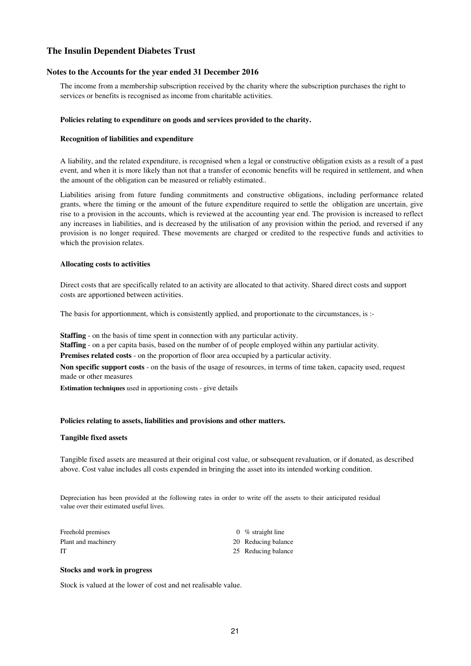#### **Notes to the Accounts for the year ended 31 December 2016**

The income from a membership subscription received by the charity where the subscription purchases the right to services or benefits is recognised as income from charitable activities.

#### **Policies relating to expenditure on goods and services provided to the charity.**

#### **Recognition of liabilities and expenditure**

A liability, and the related expenditure, is recognised when a legal or constructive obligation exists as a result of a past event, and when it is more likely than not that a transfer of economic benefits will be required in settlement, and when the amount of the obligation can be measured or reliably estimated..

Liabilities arising from future funding commitments and constructive obligations, including performance related grants, where the timing or the amount of the future expenditure required to settle the obligation are uncertain, give rise to a provision in the accounts, which is reviewed at the accounting year end. The provision is increased to reflect any increases in liabilities, and is decreased by the utilisation of any provision within the period, and reversed if any provision is no longer required. These movements are charged or credited to the respective funds and activities to which the provision relates.

#### **Allocating costs to activities**

Direct costs that are specifically related to an activity are allocated to that activity. Shared direct costs and support costs are apportioned between activities.

The basis for apportionment, which is consistently applied, and proportionate to the circumstances, is :-

**Staffing** - on the basis of time spent in connection with any particular activity.

**Staffing** - on a per capita basis, based on the number of of people employed within any partiular activity.

**Premises related costs** - on the proportion of floor area occupied by a particular activity.

**Non specific support costs** - on the basis of the usage of resources, in terms of time taken, capacity used, request made or other measures

**Estimation techniques** used in apportioning costs - give details

#### **Policies relating to assets, liabilities and provisions and other matters.**

#### **Tangible fixed assets**

Tangible fixed assets are measured at their original cost value, or subsequent revaluation, or if donated, as described above. Cost value includes all costs expended in bringing the asset into its intended working condition.

Depreciation has been provided at the following rates in order to write off the assets to their anticipated residual value over their estimated useful lives.

| Freehold premises   | 0 % straight line   |
|---------------------|---------------------|
| Plant and machinery | 20 Reducing balance |
| IT                  | 25 Reducing balance |

#### **Stocks and work in progress**

Stock is valued at the lower of cost and net realisable value.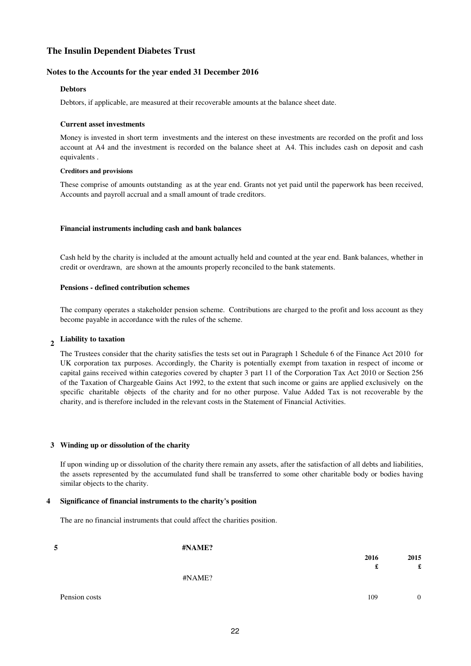#### **Notes to the Accounts for the year ended 31 December 2016**

#### **Debtors**

Debtors, if applicable, are measured at their recoverable amounts at the balance sheet date.

#### **Current asset investments**

Money is invested in short term investments and the interest on these investments are recorded on the profit and loss account at A4 and the investment is recorded on the balance sheet at A4. This includes cash on deposit and cash equivalents .

#### **Creditors and provisions**

These comprise of amounts outstanding as at the year end. Grants not yet paid until the paperwork has been received, Accounts and payroll accrual and a small amount of trade creditors.

#### **Financial instruments including cash and bank balances**

Cash held by the charity is included at the amount actually held and counted at the year end. Bank balances, whether in credit or overdrawn, are shown at the amounts properly reconciled to the bank statements.

#### **Pensions - defined contribution schemes**

The company operates a stakeholder pension scheme. Contributions are charged to the profit and loss account as they become payable in accordance with the rules of the scheme.

#### **2 Liability to taxation**

The Trustees consider that the charity satisfies the tests set out in Paragraph 1 Schedule 6 of the Finance Act 2010 for UK corporation tax purposes. Accordingly, the Charity is potentially exempt from taxation in respect of income or capital gains received within categories covered by chapter 3 part 11 of the Corporation Tax Act 2010 or Section 256 of the Taxation of Chargeable Gains Act 1992, to the extent that such income or gains are applied exclusively on the specific charitable objects of the charity and for no other purpose. Value Added Tax is not recoverable by the charity, and is therefore included in the relevant costs in the Statement of Financial Activities.

#### **3 Winding up or dissolution of the charity**

If upon winding up or dissolution of the charity there remain any assets, after the satisfaction of all debts and liabilities, the assets represented by the accumulated fund shall be transferred to some other charitable body or bodies having similar objects to the charity.

#### **4 Significance of financial instruments to the charity's position**

The are no financial instruments that could affect the charities position.

| 5             | #NAME? |      |                |
|---------------|--------|------|----------------|
|               |        | 2016 | 2015           |
|               |        | £    | £              |
|               | #NAME? |      |                |
|               |        |      |                |
| Pension costs |        | 109  | $\overline{0}$ |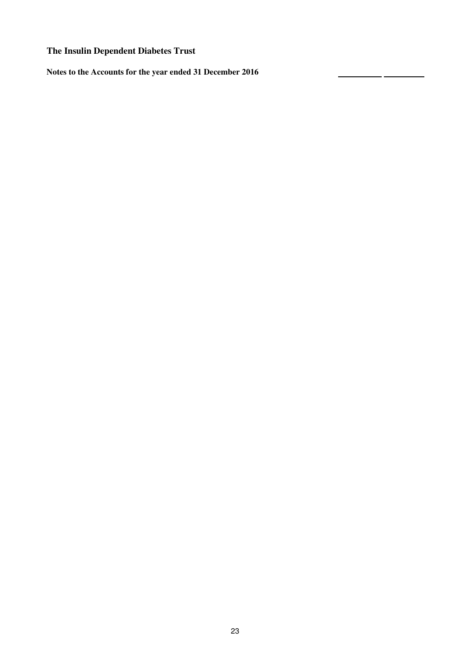**Notes to the Accounts for the year ended 31 December 2016**

۳.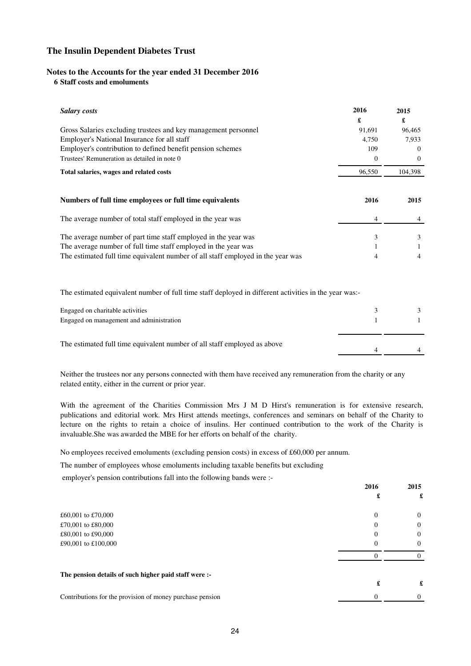#### **Notes to the Accounts for the year ended 31 December 2016**

### **6 Staff costs and emoluments**

| <b>Salary costs</b>                                                             | 2016     | 2015     |
|---------------------------------------------------------------------------------|----------|----------|
|                                                                                 | £        | £        |
| Gross Salaries excluding trustees and key management personnel                  | 91,691   | 96,465   |
| Employer's National Insurance for all staff                                     | 4,750    | 7,933    |
| Employer's contribution to defined benefit pension schemes                      | 109      | $\Omega$ |
| Trustees' Remuneration as detailed in note 0                                    | $\Omega$ | $\Omega$ |
| Total salaries, wages and related costs                                         | 96,550   | 104,398  |
| Numbers of full time employees or full time equivalents                         | 2016     | 2015     |
| The average number of total staff employed in the year was                      | 4        |          |
| The average number of part time staff employed in the year was                  | 3        | 3        |
| The average number of full time staff employed in the year was                  |          |          |
| The estimated full time equivalent number of all staff employed in the year was | 4        | 4        |

The estimated equivalent number of full time staff deployed in different activities in the year was:-

| Engaged on charitable activities<br>Engaged on management and administration |  |
|------------------------------------------------------------------------------|--|
| The estimated full time equivalent number of all staff employed as above     |  |

Neither the trustees nor any persons connected with them have received any remuneration from the charity or any related entity, either in the current or prior year.

With the agreement of the Charities Commission Mrs J M D Hirst's remuneration is for extensive research, publications and editorial work. Mrs Hirst attends meetings, conferences and seminars on behalf of the Charity to lecture on the rights to retain a choice of insulins. Her continued contribution to the work of the Charity is invaluable.She was awarded the MBE for her efforts on behalf of the charity.

No employees received emoluments (excluding pension costs) in excess of £60,000 per annum.

The number of employees whose emoluments including taxable benefits but excluding

employer's pension contributions fall into the following bands were :-

|                                                           | 2016     | 2015     |
|-----------------------------------------------------------|----------|----------|
|                                                           |          | £        |
| £60,001 to £70,000                                        | $\theta$ | $\Omega$ |
| £70,001 to £80,000                                        | $\theta$ | 0        |
| £80,001 to £90,000                                        | $\theta$ | $\Omega$ |
| £90,001 to £100,000                                       | $\Omega$ | $\Omega$ |
|                                                           |          |          |
| The pension details of such higher paid staff were :-     |          |          |
|                                                           |          | £        |
| Contributions for the provision of money purchase pension | $\theta$ |          |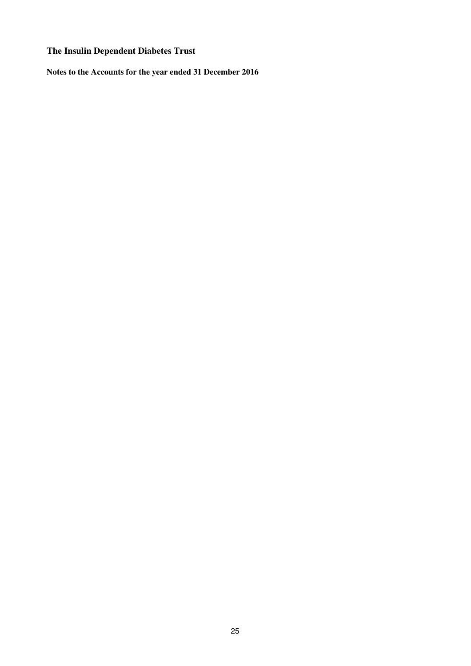**Notes to the Accounts for the year ended 31 December 2016**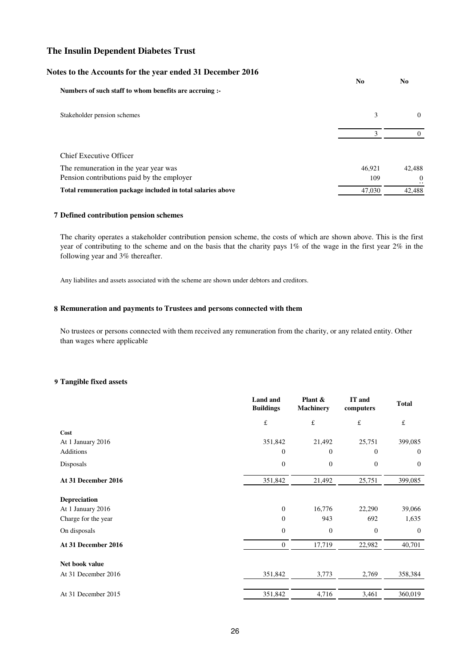## **Notes to the Accounts for the year ended 31 December 2016**

| Numbers of such staff to whom benefits are accruing :-      | N <sub>0</sub> | N <sub>0</sub>  |
|-------------------------------------------------------------|----------------|-----------------|
|                                                             |                |                 |
| Stakeholder pension schemes                                 | 3              | $\Omega$        |
|                                                             | 3              |                 |
| Chief Executive Officer                                     |                |                 |
| The remuneration in the year year was                       | 46.921         | 42,488          |
| Pension contributions paid by the employer                  | 109            | $\Omega$<br>. . |
| Total remuneration package included in total salaries above | 47,030         | 42,488          |

#### **7 Defined contribution pension schemes**

The charity operates a stakeholder contribution pension scheme, the costs of which are shown above. This is the first year of contributing to the scheme and on the basis that the charity pays 1% of the wage in the first year 2% in the following year and 3% thereafter.

Any liabilites and assets associated with the scheme are shown under debtors and creditors.

#### **8 Remuneration and payments to Trustees and persons connected with them**

No trustees or persons connected with them received any remuneration from the charity, or any related entity. Other than wages where applicable

#### **9 Tangible fixed assets**

| <b>Total</b>   |
|----------------|
| $\pounds$      |
|                |
| 399,085        |
| $\overline{0}$ |
| $\theta$       |
| 399,085        |
|                |
| 39,066         |
| 1,635          |
| $\overline{0}$ |
| 40,701         |
|                |
| 358,384        |
| 360,019        |
|                |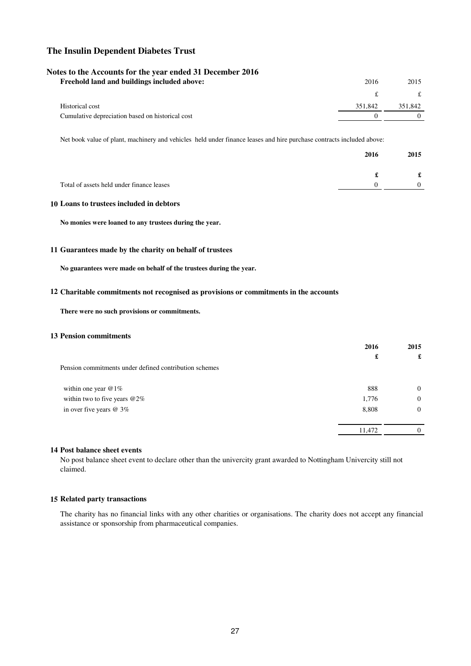#### **Notes to the Accounts for the year ended 31 December 2016**

| Freehold land and buildings included above:      | 2016    | 2015    |
|--------------------------------------------------|---------|---------|
|                                                  |         |         |
| Historical cost                                  | 351,842 | 351.842 |
| Cumulative depreciation based on historical cost |         |         |

Net book value of plant, machinery and vehicles held under finance leases and hire purchase contracts included above:

|                                           | 2016 | 2015 |
|-------------------------------------------|------|------|
|                                           |      | £    |
| Total of assets held under finance leases |      | 0    |

#### **10 Loans to trustees included in debtors**

**No monies were loaned to any trustees during the year.**

#### **11 Guarantees made by the charity on behalf of trustees**

**No guarantees were made on behalf of the trustees during the year.**

#### **12 Charitable commitments not recognised as provisions or commitments in the accounts**

**There were no such provisions or commitments.** 

## **13 Pension commitments**

| 2016   | 2015     |
|--------|----------|
| £      | £        |
|        |          |
|        |          |
| 888    | $\Omega$ |
| 1,776  | $\Omega$ |
| 8,808  | $\Omega$ |
|        |          |
| 11,472 |          |
|        |          |

## **14 Post balance sheet events**

No post balance sheet event to declare other than the univercity grant awarded to Nottingham Univercity still not claimed.

#### **15 Related party transactions**

The charity has no financial links with any other charities or organisations. The charity does not accept any financial assistance or sponsorship from pharmaceutical companies.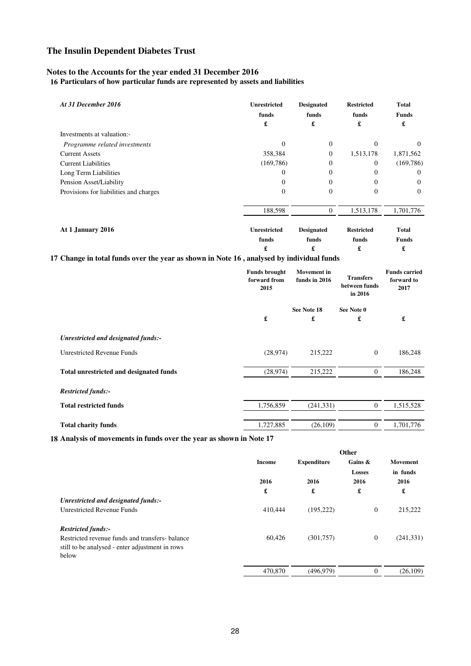## **Notes to the Accounts for the year ended 31 December 2016**

**16 Particulars of how particular funds are represented by assets and liabilities** 

| At 31 December 2016                    | <b>Unrestricted</b><br>funds<br>£ | <b>Designated</b><br>funds<br>£ | <b>Restricted</b><br>funds<br>£ | <b>Total</b><br><b>Funds</b><br>£ |
|----------------------------------------|-----------------------------------|---------------------------------|---------------------------------|-----------------------------------|
| Investments at valuation:-             |                                   |                                 |                                 |                                   |
| Programme related investments          | $\Omega$                          | $\mathbf{0}$                    | $\Omega$                        | $\Omega$                          |
| <b>Current Assets</b>                  | 358,384                           | $\theta$                        | 1,513,178                       | 1,871,562                         |
| <b>Current Liabilities</b>             | (169, 786)                        | $\overline{0}$                  | 0                               | (169, 786)                        |
| Long Term Liabilities                  | 0                                 | $\mathbf{0}$                    | $\Omega$                        | $\Omega$                          |
| Pension Asset/Liability                |                                   | $\Omega$                        | $\Omega$                        | $\Omega$                          |
| Provisions for liabilities and charges | 0                                 | $\mathbf{0}$                    | $\Omega$                        | $\Omega$                          |
|                                        | 188,598                           | $\overline{0}$                  | 1,513,178                       | 1,701,776                         |
| At 1 January 2016                      | <b>Unrestricted</b><br>funds<br>£ | <b>Designated</b><br>funds<br>£ | <b>Restricted</b><br>funds<br>£ | <b>Total</b><br><b>Funds</b><br>£ |

## **17 Change in total funds over the year as shown in Note 16 , analysed by individual funds**

|                                         | <b>Funds brought</b><br>forward from<br>2015 | <b>Movement</b> in<br><b>Transfers</b><br>funds in 2016<br>between funds<br>in 2016 |                | <b>Funds carried</b><br>forward to<br>2017 |  |
|-----------------------------------------|----------------------------------------------|-------------------------------------------------------------------------------------|----------------|--------------------------------------------|--|
|                                         |                                              | See Note 18                                                                         | See Note 0     |                                            |  |
|                                         | £                                            | £                                                                                   | £              | £                                          |  |
| Unrestricted and designated funds:-     |                                              |                                                                                     |                |                                            |  |
| <b>Unrestricted Revenue Funds</b>       | (28, 974)                                    | 215,222                                                                             | $\overline{0}$ | 186,248                                    |  |
| Total unrestricted and designated funds | (28, 974)                                    | 215,222                                                                             | $\overline{0}$ | 186,248                                    |  |
| <b>Restricted funds:-</b>               |                                              |                                                                                     |                |                                            |  |
| <b>Total restricted funds</b>           | 1,756,859                                    | (241, 331)                                                                          | $\overline{0}$ | 1,515,528                                  |  |
| <b>Total charity funds</b>              | 1,727,885                                    | (26,109)                                                                            | $\mathbf{0}$   | 1,701,776                                  |  |

**18 Analysis of movements in funds over the year as shown in Note 17**

|                                                                                                            | Other                      |                    |                                          |                                   |
|------------------------------------------------------------------------------------------------------------|----------------------------|--------------------|------------------------------------------|-----------------------------------|
|                                                                                                            | <b>Income</b><br>2016<br>£ | <b>Expenditure</b> | Gains $\&$<br><b>Losses</b><br>2016<br>£ | Movement<br>in funds<br>2016<br>£ |
|                                                                                                            |                            | 2016<br>£          |                                          |                                   |
| Unrestricted and designated funds:-                                                                        |                            |                    |                                          |                                   |
| <b>Unrestricted Revenue Funds</b>                                                                          | 410,444                    | (195, 222)         | $\overline{0}$                           | 215,222                           |
| <b>Restricted funds:-</b>                                                                                  |                            |                    |                                          |                                   |
| Restricted revenue funds and transfers-balance<br>still to be analysed - enter adjustment in rows<br>below | 60,426                     | (301,757)          | $\overline{0}$                           | (241, 331)                        |
|                                                                                                            | 470,870                    | (496, 979)         | $\Omega$                                 | (26, 109)                         |
|                                                                                                            |                            |                    |                                          |                                   |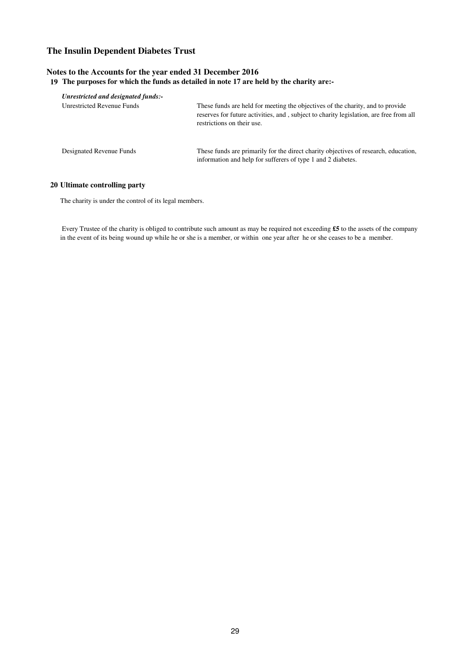## **Notes to the Accounts for the year ended 31 December 2016 19 The purposes for which the funds as detailed in note 17 are held by the charity are:-**

| Unrestricted and designated funds:- |                                                                                                                                                                                                        |
|-------------------------------------|--------------------------------------------------------------------------------------------------------------------------------------------------------------------------------------------------------|
| Unrestricted Revenue Funds          | These funds are held for meeting the objectives of the charity, and to provide<br>reserves for future activities, and, subject to charity legislation, are free from all<br>restrictions on their use. |
| Designated Revenue Funds            | These funds are primarily for the direct charity objectives of research, education,<br>information and help for sufferers of type 1 and 2 diabetes.                                                    |

#### **20 Ultimate controlling party**

The charity is under the control of its legal members.

 Every Trustee of the charity is obliged to contribute such amount as may be required not exceeding **£5** to the assets of the company in the event of its being wound up while he or she is a member, or within one year after he or she ceases to be a member.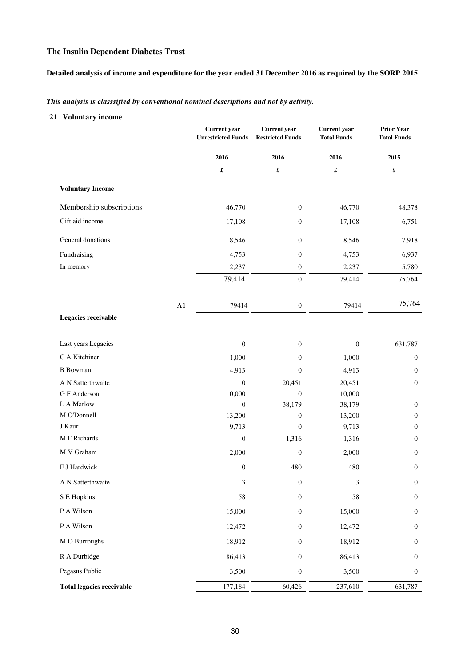## **Detailed analysis of income and expenditure for the year ended 31 December 2016 as required by the SORP 2015**

*This analysis is classsified by conventional nominal descriptions and not by activity.* 

## **21 Voluntary income**

|                                  | <b>Current</b> year<br><b>Unrestricted Funds</b> | <b>Current</b> year<br><b>Restricted Funds</b> | <b>Current</b> year<br><b>Total Funds</b> | <b>Prior Year</b><br><b>Total Funds</b> |
|----------------------------------|--------------------------------------------------|------------------------------------------------|-------------------------------------------|-----------------------------------------|
|                                  | 2016                                             | 2016                                           | 2016                                      | 2015                                    |
|                                  | $\pmb{\mathfrak{L}}$                             | $\pmb{\mathfrak{L}}$                           | $\pmb{\mathfrak{L}}$                      | $\pmb{\mathfrak{L}}$                    |
| <b>Voluntary Income</b>          |                                                  |                                                |                                           |                                         |
| Membership subscriptions         | 46,770                                           | $\boldsymbol{0}$                               | 46,770                                    | 48,378                                  |
| Gift aid income                  | 17,108                                           | $\boldsymbol{0}$                               | 17,108                                    | 6,751                                   |
| General donations                | 8,546                                            | $\boldsymbol{0}$                               | 8,546                                     | 7,918                                   |
| Fundraising                      | 4,753                                            | $\mathbf{0}$                                   | 4,753                                     | 6,937                                   |
| In memory                        | 2,237                                            | $\boldsymbol{0}$                               | 2,237                                     | 5,780                                   |
|                                  | 79,414                                           | $\boldsymbol{0}$                               | 79,414                                    | 75,764                                  |
| ${\bf A1}$                       | 79414                                            | $\boldsymbol{0}$                               | 79414                                     | 75,764                                  |
| Legacies receivable              |                                                  |                                                |                                           |                                         |
| Last years Legacies              | $\boldsymbol{0}$                                 | $\mathbf{0}$                                   | $\boldsymbol{0}$                          | 631,787                                 |
| C A Kitchiner                    | 1,000                                            | $\mathbf{0}$                                   | 1,000                                     | $\boldsymbol{0}$                        |
| <b>B</b> Bowman                  | 4,913                                            | $\mathbf{0}$                                   | 4,913                                     | $\boldsymbol{0}$                        |
| A N Satterthwaite                | $\boldsymbol{0}$                                 | 20,451                                         | 20,451                                    | $\boldsymbol{0}$                        |
| G F Anderson                     | 10,000                                           | $\boldsymbol{0}$                               | 10,000                                    |                                         |
| L A Marlow                       | $\boldsymbol{0}$                                 | 38,179                                         | 38,179                                    | $\mathbf{0}$                            |
| M O'Donnell                      | 13,200                                           | $\mathbf{0}$                                   | 13,200                                    | $\boldsymbol{0}$                        |
| J Kaur                           | 9,713                                            | $\mathbf{0}$                                   | 9,713                                     | $\boldsymbol{0}$                        |
| M F Richards                     | $\boldsymbol{0}$                                 | 1,316                                          | 1,316                                     | $\boldsymbol{0}$                        |
| M V Graham                       | 2,000                                            | $\mathbf{0}$                                   | 2,000                                     | $\boldsymbol{0}$                        |
| F J Hardwick                     | $\boldsymbol{0}$                                 | 480                                            | 480                                       | $\mathbf{0}$                            |
| A N Satterthwaite                | 3                                                | $\boldsymbol{0}$                               | $\mathfrak{Z}$                            | $\boldsymbol{0}$                        |
| S E Hopkins                      | 58                                               | $\boldsymbol{0}$                               | 58                                        | $\boldsymbol{0}$                        |
| $\mathbf P$ A Wilson             | 15,000                                           | $\boldsymbol{0}$                               | 15,000                                    | $\boldsymbol{0}$                        |
| P A Wilson                       | 12,472                                           | $\boldsymbol{0}$                               | 12,472                                    | $\mathbf{0}$                            |
| M O Burroughs                    | 18,912                                           | $\boldsymbol{0}$                               | 18,912                                    | $\boldsymbol{0}$                        |
| R A Durbidge                     | 86,413                                           | $\boldsymbol{0}$                               | 86,413                                    | $\boldsymbol{0}$                        |
| Pegasus Public                   | 3,500                                            | $\boldsymbol{0}$                               | 3,500                                     | $\boldsymbol{0}$                        |
| <b>Total legacies receivable</b> | 177,184                                          | 60,426                                         | 237,610                                   | 631,787                                 |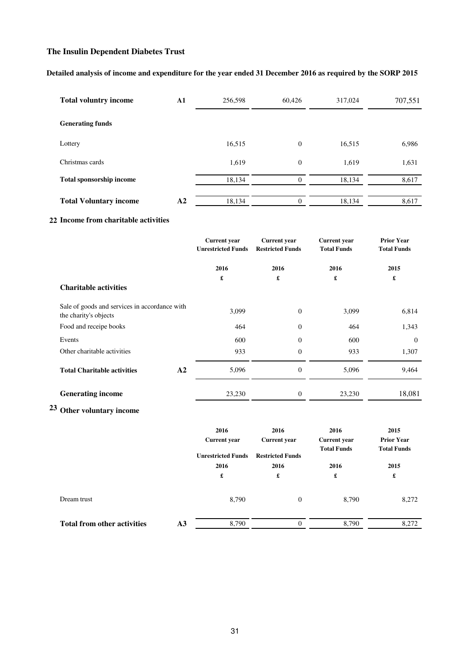## **Detailed analysis of income and expenditure for the year ended 31 December 2016 as required by the SORP 2015**

| <b>Total voluntry income</b>    | $\mathbf{A1}$  | 256,598 | 60.426   | 317,024 | 707,551 |
|---------------------------------|----------------|---------|----------|---------|---------|
| <b>Generating funds</b>         |                |         |          |         |         |
| Lottery                         |                | 16,515  | $\Omega$ | 16,515  | 6,986   |
| Christmas cards                 |                | 1,619   | $\theta$ | 1,619   | 1,631   |
| <b>Total sponsorship income</b> |                | 18,134  | $\Omega$ | 18,134  | 8,617   |
| <b>Total Voluntary income</b>   | A <sub>2</sub> | 18,134  | $\Omega$ | 18,134  | 8,617   |

## **22 Income from charitable activities**

|                                                                        | <b>Current</b> year<br><b>Unrestricted Funds</b> | <b>Current</b> year<br><b>Restricted Funds</b> | <b>Current</b> year<br><b>Total Funds</b> | <b>Prior Year</b><br><b>Total Funds</b> |
|------------------------------------------------------------------------|--------------------------------------------------|------------------------------------------------|-------------------------------------------|-----------------------------------------|
|                                                                        | 2016                                             | 2016                                           | 2016                                      | 2015                                    |
| <b>Charitable activities</b>                                           | £                                                | £                                              | £                                         | £                                       |
| Sale of goods and services in accordance with<br>the charity's objects | 3,099                                            | $\overline{0}$                                 | 3,099                                     | 6,814                                   |
| Food and receipe books                                                 | 464                                              | $\overline{0}$                                 | 464                                       | 1,343                                   |
| Events                                                                 | 600                                              | $\overline{0}$                                 | 600                                       | $\theta$                                |
| Other charitable activities                                            | 933                                              | $\Omega$                                       | 933                                       | 1,307                                   |
| <b>Total Charitable activities</b><br>A2                               | 5,096                                            | $\overline{0}$                                 | 5,096                                     | 9,464                                   |
| <b>Generating income</b>                                               | 23,230                                           | $\boldsymbol{0}$                               | 23,230                                    | 18,081                                  |

# **23 Other voluntary income**

|                                    |                | 2016<br><b>Current</b> year<br><b>Unrestricted Funds</b><br>2016<br>£ | 2016<br><b>Current year</b>          | 2016<br><b>Current</b> year<br><b>Total Funds</b> | 2015<br><b>Prior Year</b><br><b>Total Funds</b> |  |
|------------------------------------|----------------|-----------------------------------------------------------------------|--------------------------------------|---------------------------------------------------|-------------------------------------------------|--|
|                                    |                |                                                                       | <b>Restricted Funds</b><br>2016<br>£ | 2016<br>£                                         | 2015<br>£                                       |  |
| Dream trust                        |                | 8,790                                                                 | $\mathbf{0}$                         | 8,790                                             | 8,272                                           |  |
| <b>Total from other activities</b> | A <sub>3</sub> | 8,790                                                                 | 0                                    | 8,790                                             | 8,272                                           |  |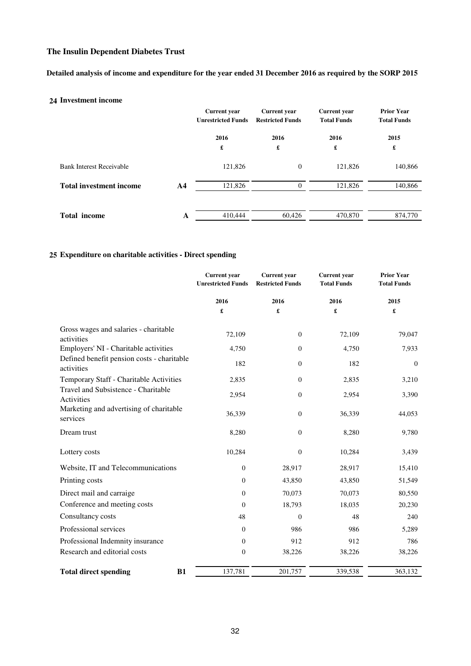## **Detailed analysis of income and expenditure for the year ended 31 December 2016 as required by the SORP 2015**

## **24 Investment income**

|                                 |                | <b>Current</b> year<br><b>Unrestricted Funds</b> | <b>Current</b> year<br><b>Restricted Funds</b> | <b>Current</b> year<br><b>Total Funds</b> | <b>Prior Year</b><br><b>Total Funds</b> |
|---------------------------------|----------------|--------------------------------------------------|------------------------------------------------|-------------------------------------------|-----------------------------------------|
|                                 |                | 2016<br>£                                        | 2016<br>£                                      | 2016<br>£                                 | 2015<br>£                               |
| <b>Bank Interest Receivable</b> |                | 121,826                                          | $\theta$                                       | 121,826                                   | 140,866                                 |
| <b>Total investment income</b>  | A <sub>4</sub> | 121,826                                          | $\Omega$                                       | 121,826                                   | 140,866                                 |
| <b>Total income</b>             | A              | 410,444                                          | 60,426                                         | 470,870                                   | 874,770                                 |

## **25 Expenditure on charitable activities - Direct spending**

|                                                          | <b>Current</b> year<br><b>Unrestricted Funds</b> | <b>Current</b> year<br><b>Restricted Funds</b> | <b>Current</b> year<br><b>Total Funds</b> | <b>Prior Year</b><br><b>Total Funds</b> |
|----------------------------------------------------------|--------------------------------------------------|------------------------------------------------|-------------------------------------------|-----------------------------------------|
|                                                          | 2016<br>£                                        | 2016<br>£                                      | 2016<br>£                                 | 2015<br>£                               |
| Gross wages and salaries - charitable<br>activities      | 72,109                                           | $\theta$                                       | 72,109                                    | 79,047                                  |
| Employers' NI - Charitable activities                    | 4,750                                            | $\theta$                                       | 4,750                                     | 7,933                                   |
| Defined benefit pension costs - charitable<br>activities | 182                                              | $\boldsymbol{0}$                               | 182                                       | $\boldsymbol{0}$                        |
| Temporary Staff - Charitable Activities                  | 2,835                                            | $\theta$                                       | 2,835                                     | 3,210                                   |
| Travel and Subsistence - Charitable<br>Activities        | 2,954                                            | $\theta$                                       | 2,954                                     | 3,390                                   |
| Marketing and advertising of charitable<br>services      | 36,339                                           | $\theta$                                       | 36,339                                    | 44,053                                  |
| Dream trust                                              | 8,280                                            | $\theta$                                       | 8,280                                     | 9,780                                   |
| Lottery costs                                            | 10,284                                           | $\mathbf{0}$                                   | 10,284                                    | 3,439                                   |
| Website, IT and Telecommunications                       | $\boldsymbol{0}$                                 | 28,917                                         | 28,917                                    | 15,410                                  |
| Printing costs                                           | 0                                                | 43,850                                         | 43,850                                    | 51,549                                  |
| Direct mail and carraige                                 | $\boldsymbol{0}$                                 | 70,073                                         | 70,073                                    | 80,550                                  |
| Conference and meeting costs                             | $\overline{0}$                                   | 18,793                                         | 18,035                                    | 20,230                                  |
| Consultancy costs                                        | 48                                               | $\theta$                                       | 48                                        | 240                                     |
| Professional services                                    | $\boldsymbol{0}$                                 | 986                                            | 986                                       | 5,289                                   |
| Professional Indemnity insurance                         | $\boldsymbol{0}$                                 | 912                                            | 912                                       | 786                                     |
| Research and editorial costs                             | $\boldsymbol{0}$                                 | 38,226                                         | 38,226                                    | 38,226                                  |
| <b>Total direct spending</b><br><b>B1</b>                | 137,781                                          | 201,757                                        | 339,538                                   | 363,132                                 |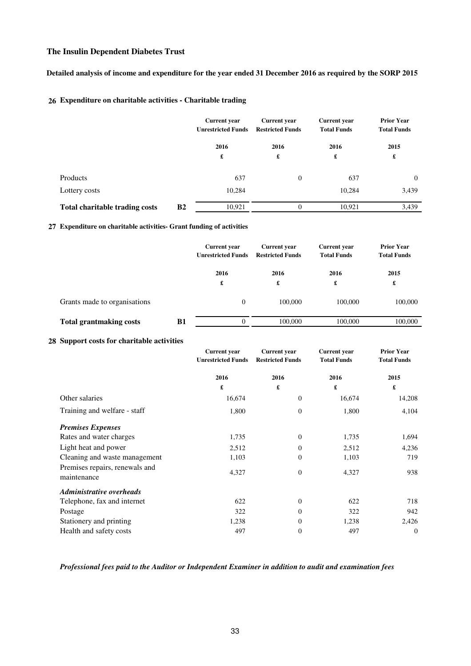## **Detailed analysis of income and expenditure for the year ended 31 December 2016 as required by the SORP 2015**

## **26 Expenditure on charitable activities - Charitable trading**

|                                                    | <b>Current</b> year<br><b>Unrestricted Funds</b> | <b>Current year</b><br><b>Restricted Funds</b> | <b>Current year</b><br><b>Total Funds</b> | <b>Prior Year</b><br><b>Total Funds</b> |  |
|----------------------------------------------------|--------------------------------------------------|------------------------------------------------|-------------------------------------------|-----------------------------------------|--|
|                                                    | 2016                                             | 2016                                           | 2016                                      | 2015                                    |  |
|                                                    | £                                                | £                                              | £                                         | £                                       |  |
| Products                                           | 637                                              | $\overline{0}$                                 | 637                                       | $\theta$                                |  |
| Lottery costs                                      | 10,284                                           |                                                | 10,284                                    | 3,439                                   |  |
| <b>B2</b><br><b>Total charitable trading costs</b> | 10,921                                           | $\theta$                                       | 10,921                                    | 3,439                                   |  |

#### **27 Expenditure on charitable activities- Grant funding of activities**

|                                |    | <b>Current</b> year<br><b>Unrestricted Funds</b> | <b>Current</b> year<br><b>Restricted Funds</b> | <b>Current year</b><br><b>Total Funds</b> | <b>Prior Year</b><br><b>Total Funds</b> |  |
|--------------------------------|----|--------------------------------------------------|------------------------------------------------|-------------------------------------------|-----------------------------------------|--|
|                                |    | 2016<br>£                                        | 2016<br>£                                      | 2016<br>£                                 | 2015<br>£                               |  |
| Grants made to organisations   |    | $\theta$                                         | 100,000                                        | 100,000                                   | 100,000                                 |  |
| <b>Total grantmaking costs</b> | B1 | $\theta$                                         | 100,000                                        | 100,000                                   | 100,000                                 |  |

### **28 Support costs for charitable activities**

|                                               | <b>Current</b> year       | <b>Current</b> year     | <b>Current</b> year | <b>Prior Year</b>  |
|-----------------------------------------------|---------------------------|-------------------------|---------------------|--------------------|
|                                               | <b>Unrestricted Funds</b> | <b>Restricted Funds</b> | <b>Total Funds</b>  | <b>Total Funds</b> |
|                                               | 2016                      | 2016                    | 2016                | 2015               |
|                                               | £                         | £                       | £                   | £                  |
| Other salaries                                | 16,674                    | $\mathbf{0}$            | 16,674              | 14,208             |
| Training and welfare - staff                  | 1,800                     | $\theta$                | 1,800               | 4,104              |
| <b>Premises Expenses</b>                      |                           |                         |                     |                    |
| Rates and water charges                       | 1,735                     | $\theta$                | 1,735               | 1,694              |
| Light heat and power                          | 2,512                     | $\overline{0}$          | 2,512               | 4,236              |
| Cleaning and waste management                 | 1,103                     | $\theta$                | 1,103               | 719                |
| Premises repairs, renewals and<br>maintenance | 4,327                     | $\boldsymbol{0}$        | 4,327               | 938                |
| <b>Administrative overheads</b>               |                           |                         |                     |                    |
| Telephone, fax and internet                   | 622                       | $\Omega$                | 622                 | 718                |
| Postage                                       | 322                       | $\Omega$                | 322                 | 942                |
| Stationery and printing                       | 1,238                     | $\Omega$                | 1,238               | 2,426              |
| Health and safety costs                       | 497                       | $\theta$                | 497                 | $\theta$           |

## *Professional fees paid to the Auditor or Independent Examiner in addition to audit and examination fees*